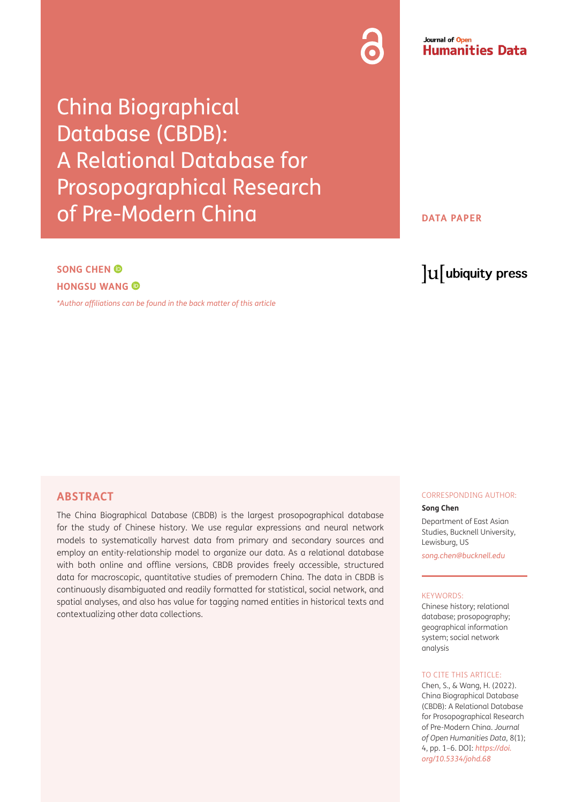China Biographical Database (CBDB): A Relational Database for Prosopographical Research of Pre-Modern China

**DATA PAPER**

Journal of Open

**Humanities Data** 

# **SONG CHEN HONGSU WANG**

*\*[Author affiliations can be found in the back matter of this article](#page-5-0)*

# lu ubiquity press

## **ABSTRACT**

The China Biographical Database (CBDB) is the largest prosopographical database for the study of Chinese history. We use regular expressions and neural network models to systematically harvest data from primary and secondary sources and employ an entity-relationship model to organize our data. As a relational database with both online and offline versions, CBDB provides freely accessible, structured data for macroscopic, quantitative studies of premodern China. The data in CBDB is continuously disambiguated and readily formatted for statistical, social network, and spatial analyses, and also has value for tagging named entities in historical texts and contextualizing other data collections.

#### CORRESPONDING AUTHOR:

#### **Song Chen**

Department of East Asian Studies, Bucknell University, Lewisburg, US

*[song.chen@bucknell.edu](mailto:song.chen@bucknell.edu)*

#### KEYWORDS:

Chinese history; relational database; prosopography; geographical information system; social network analysis

#### TO CITE THIS ARTICLE:

Chen, S., & Wang, H. (2022). China Biographical Database (CBDB): A Relational Database for Prosopographical Research of Pre-Modern China. *Journal of Open Humanities Data*, 8(1); 4, pp. 1–6. DOI: *[https://doi.](https://doi.org/10.5334/johd.68) [org/10.5334/johd.68](https://doi.org/10.5334/johd.68)*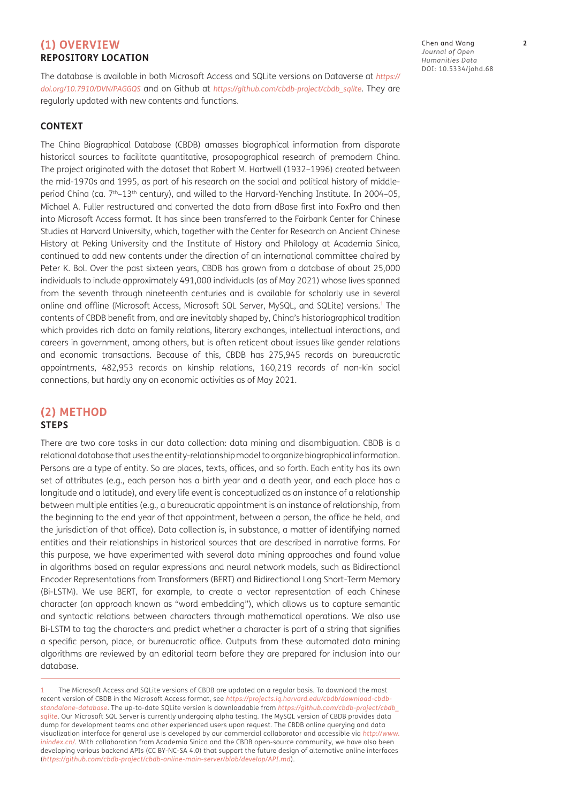# **(1) OVERVIEW REPOSITORY LOCATION**

The database is available in both Microsoft Access and SQLite versions on Dataverse at *[https://](https://doi.org/10.7910/DVN/PAGGQS) [doi.org/10.7910/DVN/PAGGQS](https://doi.org/10.7910/DVN/PAGGQS)* and on Github at *[https://github.com/cbdb-project/cbdb\\_sqlite](https://github.com/cbdb-project/cbdb_sqlite)*. They are regularly updated with new contents and functions.

#### **CONTEXT**

The China Biographical Database (CBDB) amasses biographical information from disparate historical sources to facilitate quantitative, prosopographical research of premodern China. The project originated with the dataset that Robert M. Hartwell (1932–1996) created between the mid-1970s and 1995, as part of his research on the social and political history of middleperiod China (ca. 7<sup>th</sup>-13<sup>th</sup> century), and willed to the Harvard-Yenching Institute. In 2004-05, Michael A. Fuller restructured and converted the data from dBase first into FoxPro and then into Microsoft Access format. It has since been transferred to the Fairbank Center for Chinese Studies at Harvard University, which, together with the Center for Research on Ancient Chinese History at Peking University and the Institute of History and Philology at Academia Sinica, continued to add new contents under the direction of an international committee chaired by Peter K. Bol. Over the past sixteen years, CBDB has grown from a database of about 25,000 individuals to include approximately 491,000 individuals (as of May 2021) whose lives spanned from the seventh through nineteenth centuries and is available for scholarly use in several online and offline (Microsoft Access, Microsoft SQL Server, MySQL, and SQLite) versions.1 The contents of CBDB benefit from, and are inevitably shaped by, China's historiographical tradition which provides rich data on family relations, literary exchanges, intellectual interactions, and careers in government, among others, but is often reticent about issues like gender relations and economic transactions. Because of this, CBDB has 275,945 records on bureaucratic appointments, 482,953 records on kinship relations, 160,219 records of non-kin social connections, but hardly any on economic activities as of May 2021.

# **(2) METHOD STEPS**

There are two core tasks in our data collection: data mining and disambiguation. CBDB is a relational database that uses the entity-relationship model to organize biographical information. Persons are a type of entity. So are places, texts, offices, and so forth. Each entity has its own set of attributes (e.g., each person has a birth year and a death year, and each place has a longitude and a latitude), and every life event is conceptualized as an instance of a relationship between multiple entities (e.g., a bureaucratic appointment is an instance of relationship, from the beginning to the end year of that appointment, between a person, the office he held, and the jurisdiction of that office). Data collection is, in substance, a matter of identifying named entities and their relationships in historical sources that are described in narrative forms. For this purpose, we have experimented with several data mining approaches and found value in algorithms based on regular expressions and neural network models, such as Bidirectional Encoder Representations from Transformers (BERT) and Bidirectional Long Short-Term Memory (Bi-LSTM). We use BERT, for example, to create a vector representation of each Chinese character (an approach known as "word embedding"), which allows us to capture semantic and syntactic relations between characters through mathematical operations. We also use Bi-LSTM to tag the characters and predict whether a character is part of a string that signifies a specific person, place, or bureaucratic office. Outputs from these automated data mining algorithms are reviewed by an editorial team before they are prepared for inclusion into our database.

1 The Microsoft Access and SQLite versions of CBDB are updated on a regular basis. To download the most recent version of CBDB in the Microsoft Access format, see *[https://projects.iq.harvard.edu/cbdb/download-cbdb](https://projects.iq.harvard.edu/cbdb/download-cbdb-standalone-database)[standalone-database](https://projects.iq.harvard.edu/cbdb/download-cbdb-standalone-database)*. The up-to-date SQLite version is downloadable from *[https://github.com/cbdb-project/cbdb\\_](https://github.com/cbdb-project/cbdb_sqlite) [sqlite](https://github.com/cbdb-project/cbdb_sqlite)*. Our Microsoft SQL Server is currently undergoing alpha testing. The MySQL version of CBDB provides data dump for development teams and other experienced users upon request. The CBDB online querying and data visualization interface for general use is developed by our commercial collaborator and accessible via *[http://www.](http://www.inindex.cn/) [inindex.cn/](http://www.inindex.cn/)*. With collaboration from Academia Sinica and the CBDB open-source community, we have also been developing various backend APIs (CC BY-NC-SA 4.0) that support the future design of alternative online interfaces (*<https://github.com/cbdb-project/cbdb-online-main-server/blob/develop/API.md>*).

Chen and Wang **2** *Journal of Open Humanities Data* DOI: [10.5334/johd.68](https://doi.org/10.5334/johd.68)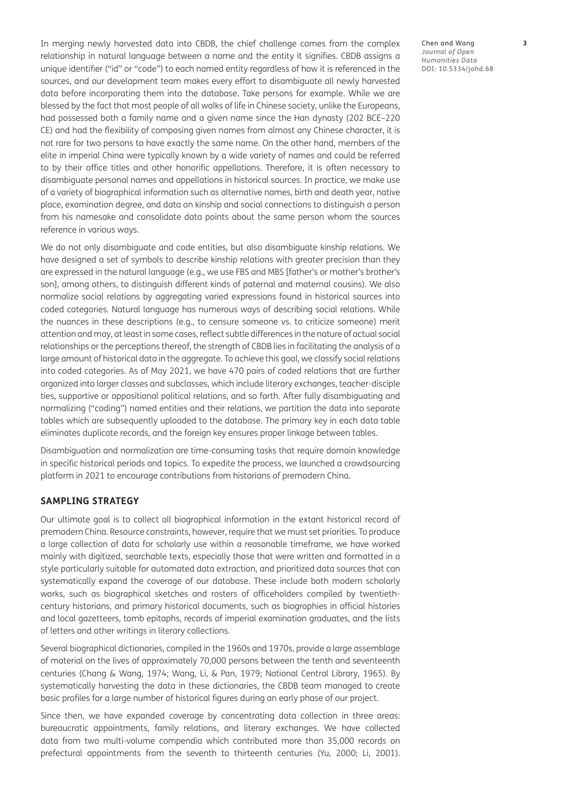In merging newly harvested data into CBDB, the chief challenge comes from the complex relationship in natural language between a name and the entity it signifies. CBDB assigns a unique identifier ("id" or "code") to each named entity regardless of how it is referenced in the sources, and our development team makes every effort to disambiguate all newly harvested data before incorporating them into the database. Take persons for example. While we are blessed by the fact that most people of all walks of life in Chinese society, unlike the Europeans, had possessed both a family name and a given name since the Han dynasty (202 BCE–220 CE) and had the flexibility of composing given names from almost any Chinese character, it is not rare for two persons to have exactly the same name. On the other hand, members of the elite in imperial China were typically known by a wide variety of names and could be referred to by their office titles and other honorific appellations. Therefore, it is often necessary to disambiguate personal names and appellations in historical sources. In practice, we make use of a variety of biographical information such as alternative names, birth and death year, native place, examination degree, and data on kinship and social connections to distinguish a person from his namesake and consolidate data points about the same person whom the sources reference in various ways.

We do not only disambiguate and code entities, but also disambiguate kinship relations. We have designed a set of symbols to describe kinship relations with greater precision than they are expressed in the natural language (e.g., we use FBS and MBS [father's or mother's brother's son], among others, to distinguish different kinds of paternal and maternal cousins). We also normalize social relations by aggregating varied expressions found in historical sources into coded categories. Natural language has numerous ways of describing social relations. While the nuances in these descriptions (e.g., to censure someone vs. to criticize someone) merit attention and may, at least in some cases, reflect subtle differences in the nature of actual social relationships or the perceptions thereof, the strength of CBDB lies in facilitating the analysis of a large amount of historical data in the aggregate. To achieve this goal, we classify social relations into coded categories. As of May 2021, we have 470 pairs of coded relations that are further organized into larger classes and subclasses, which include literary exchanges, teacher-disciple ties, supportive or oppositional political relations, and so forth. After fully disambiguating and normalizing ("coding") named entities and their relations, we partition the data into separate tables which are subsequently uploaded to the database. The primary key in each data table eliminates duplicate records, and the foreign key ensures proper linkage between tables.

Disambiguation and normalization are time-consuming tasks that require domain knowledge in specific historical periods and topics. To expedite the process, we launched a crowdsourcing platform in 2021 to encourage contributions from historians of premodern China.

# **SAMPLING STRATEGY**

Our ultimate goal is to collect all biographical information in the extant historical record of premodern China. Resource constraints, however, require that we must set priorities. To produce a large collection of data for scholarly use within a reasonable timeframe, we have worked mainly with digitized, searchable texts, especially those that were written and formatted in a style particularly suitable for automated data extraction, and prioritized data sources that can systematically expand the coverage of our database. These include both modern scholarly works, such as biographical sketches and rosters of officeholders compiled by twentiethcentury historians, and primary historical documents, such as biographies in official histories and local gazetteers, tomb epitaphs, records of imperial examination graduates, and the lists of letters and other writings in literary collections.

Several biographical dictionaries, compiled in the 1960s and 1970s, provide a large assemblage of material on the lives of approximately 70,000 persons between the tenth and seventeenth centuries ([Chang & Wang, 1974;](#page-5-1) [Wang, Li, & Pan, 1979;](#page-5-1) [National Central Library, 1965](#page-5-1)). By systematically harvesting the data in these dictionaries, the CBDB team managed to create basic profiles for a large number of historical figures during an early phase of our project.

Since then, we have expanded coverage by concentrating data collection in three areas: bureaucratic appointments, family relations, and literary exchanges. We have collected data from two multi-volume compendia which contributed more than 35,000 records on prefectural appointments from the seventh to thirteenth centuries ([Yu, 2000;](#page-5-1) [Li, 2001](#page-5-1)).

Chen and Wang **3** *Journal of Open Humanities Data* DOI: [10.5334/johd.68](https://doi.org/10.5334/johd.68)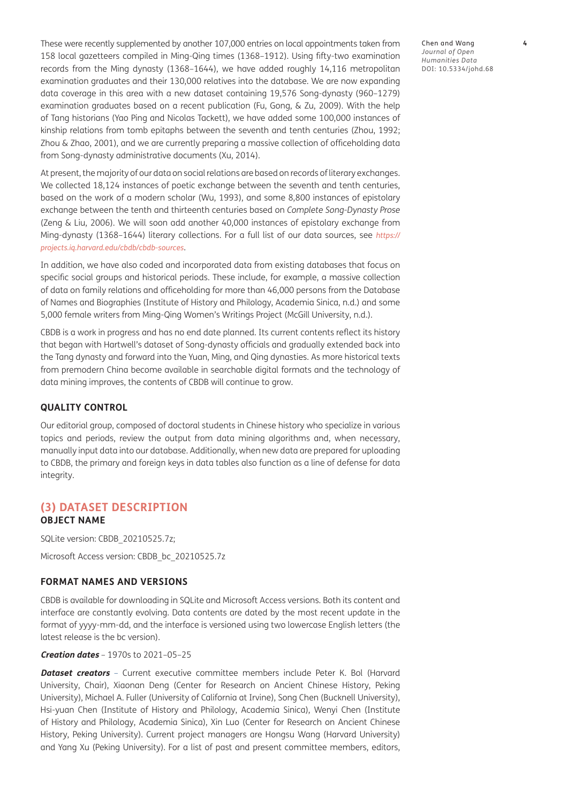These were recently supplemented by another 107,000 entries on local appointments taken from 158 local gazetteers compiled in Ming-Qing times (1368–1912). Using fifty-two examination records from the Ming dynasty (1368–1644), we have added roughly 14,116 metropolitan examination graduates and their 130,000 relatives into the database. We are now expanding data coverage in this area with a new dataset containing 19,576 Song-dynasty (960–1279) examination graduates based on a recent publication ([Fu, Gong, & Zu, 2009\)](#page-5-1). With the help of Tang historians (Yao Ping and Nicolas Tackett), we have added some 100,000 instances of kinship relations from tomb epitaphs between the seventh and tenth centuries [\(Zhou, 1992](#page-5-1); [Zhou & Zhao, 2001](#page-5-1)), and we are currently preparing a massive collection of officeholding data from Song-dynasty administrative documents [\(Xu, 2014\)](#page-5-1).

At present, the majority of our data on social relations are based on records of literary exchanges. We collected 18,124 instances of poetic exchange between the seventh and tenth centuries, based on the work of a modern scholar ([Wu, 1993](#page-5-1)), and some 8,800 instances of epistolary exchange between the tenth and thirteenth centuries based on *Complete Song-Dynasty Prose* [\(Zeng & Liu, 2006](#page-5-1)). We will soon add another 40,000 instances of epistolary exchange from Ming-dynasty (1368–1644) literary collections. For a full list of our data sources, see *[https://](https://projects.iq.harvard.edu/cbdb/cbdb-sources) [projects.iq.harvard.edu/cbdb/cbdb-sources](https://projects.iq.harvard.edu/cbdb/cbdb-sources)*.

In addition, we have also coded and incorporated data from existing databases that focus on specific social groups and historical periods. These include, for example, a massive collection of data on family relations and officeholding for more than 46,000 persons from the Database of Names and Biographies (Institute of History and Philology, Academia Sinica, n.d.) and some 5,000 female writers from Ming-Qing Women's Writings Project [\(McGill University, n.d.\)](#page-5-1).

CBDB is a work in progress and has no end date planned. Its current contents reflect its history that began with Hartwell's dataset of Song-dynasty officials and gradually extended back into the Tang dynasty and forward into the Yuan, Ming, and Qing dynasties. As more historical texts from premodern China become available in searchable digital formats and the technology of data mining improves, the contents of CBDB will continue to grow.

#### **QUALITY CONTROL**

Our editorial group, composed of doctoral students in Chinese history who specialize in various topics and periods, review the output from data mining algorithms and, when necessary, manually input data into our database. Additionally, when new data are prepared for uploading to CBDB, the primary and foreign keys in data tables also function as a line of defense for data integrity.

### **(3) DATASET DESCRIPTION OBJECT NAME**

SQLite version: CBDB\_20210525.7z;

Microsoft Access version: CBDB\_bc\_20210525.7z

#### **FORMAT NAMES AND VERSIONS**

CBDB is available for downloading in SQLite and Microsoft Access versions. Both its content and interface are constantly evolving. Data contents are dated by the most recent update in the format of yyyy-mm-dd, and the interface is versioned using two lowercase English letters (the latest release is the bc version).

#### **Creation dates** – 1970s to 2021–05–25

**Dataset creators** – Current executive committee members include Peter K. Bol (Harvard University, Chair), Xiaonan Deng (Center for Research on Ancient Chinese History, Peking University), Michael A. Fuller (University of California at Irvine), Song Chen (Bucknell University), Hsi-yuan Chen ([Institute of History and Philology, Academia Sinica](#page-5-1)), Wenyi Chen (Institute of History and Philology, Academia Sinica), Xin Luo (Center for Research on Ancient Chinese History, Peking University). Current project managers are Hongsu Wang [\(Harvard University\)](#page-5-1) and Yang Xu (Peking University). For a list of past and present committee members, editors,

Chen and Wang **4** *Journal of Open Humanities Data* DOI: [10.5334/johd.68](https://doi.org/10.5334/johd.68)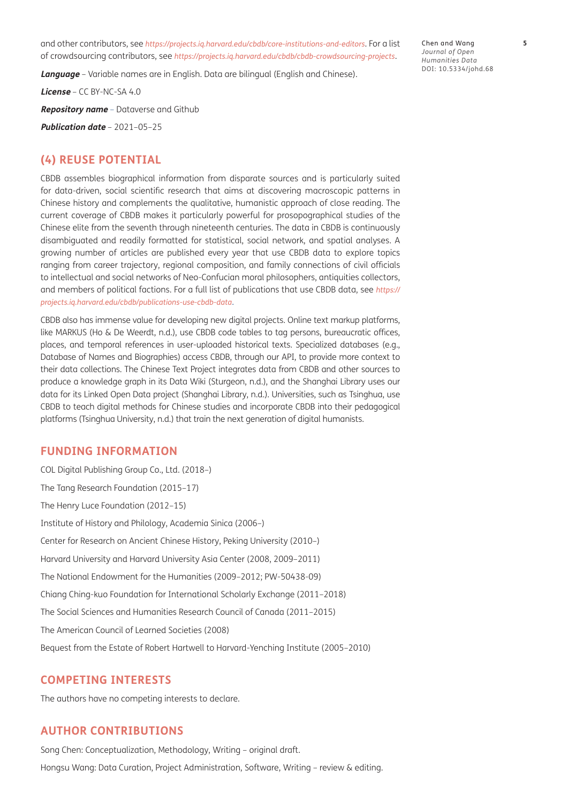and other contributors, see *<https://projects.iq.harvard.edu/cbdb/core-institutions-and-editors>*. For a list of crowdsourcing contributors, see *<https://projects.iq.harvard.edu/cbdb/cbdb-crowdsourcing-projects>*.

**Language** – Variable names are in English. Data are bilingual (English and Chinese).

**License** – CC BY-NC-SA 4.0

**Repository name** – Dataverse and Github

**Publication date** – 2021–05–25

### **(4) REUSE POTENTIAL**

CBDB assembles biographical information from disparate sources and is particularly suited for data-driven, social scientific research that aims at discovering macroscopic patterns in Chinese history and complements the qualitative, humanistic approach of close reading. The current coverage of CBDB makes it particularly powerful for prosopographical studies of the Chinese elite from the seventh through nineteenth centuries. The data in CBDB is continuously disambiguated and readily formatted for statistical, social network, and spatial analyses. A growing number of articles are published every year that use CBDB data to explore topics ranging from career trajectory, regional composition, and family connections of civil officials to intellectual and social networks of Neo-Confucian moral philosophers, antiquities collectors, and members of political factions. For a full list of publications that use CBDB data, see *[https://](https://projects.iq.harvard.edu/cbdb/publications-use-cbdb-data) [projects.iq.harvard.edu/cbdb/publications-use-cbdb-data](https://projects.iq.harvard.edu/cbdb/publications-use-cbdb-data)*.

CBDB also has immense value for developing new digital projects. Online text markup platforms, like MARKUS ([Ho & De Weerdt, n.d.\)](#page-5-1), use CBDB code tables to tag persons, bureaucratic offices, places, and temporal references in user-uploaded historical texts. Specialized databases (e.g., Database of Names and Biographies) access CBDB, through our API, to provide more context to their data collections. The Chinese Text Project integrates data from CBDB and other sources to produce a knowledge graph in its Data Wiki [\(Sturgeon, n.d.\)](#page-5-1), and the Shanghai Library uses our data for its Linked Open Data project [\(Shanghai Library, n.d.](#page-5-1)). Universities, such as Tsinghua, use CBDB to teach digital methods for Chinese studies and incorporate CBDB into their pedagogical platforms ([Tsinghua University, n.d.](#page-5-1)) that train the next generation of digital humanists.

#### **FUNDING INFORMATION**

COL Digital Publishing Group Co., Ltd. (2018–) The Tang Research Foundation (2015–17) The Henry Luce Foundation (2012–15) Institute of History and Philology, Academia Sinica (2006–) Center for Research on Ancient Chinese History, Peking University (2010–) Harvard University and Harvard University Asia Center (2008, 2009–2011) The National Endowment for the Humanities (2009–2012; PW-50438-09) Chiang Ching-kuo Foundation for International Scholarly Exchange (2011–2018) The Social Sciences and Humanities Research Council of Canada (2011–2015) The American Council of Learned Societies (2008) Bequest from the Estate of Robert Hartwell to Harvard-Yenching Institute (2005–2010)

#### **COMPETING INTERESTS**

The authors have no competing interests to declare.

# **AUTHOR CONTRIBUTIONS**

Song Chen: Conceptualization, Methodology, Writing – original draft. Hongsu Wang: Data Curation, Project Administration, Software, Writing – review & editing.